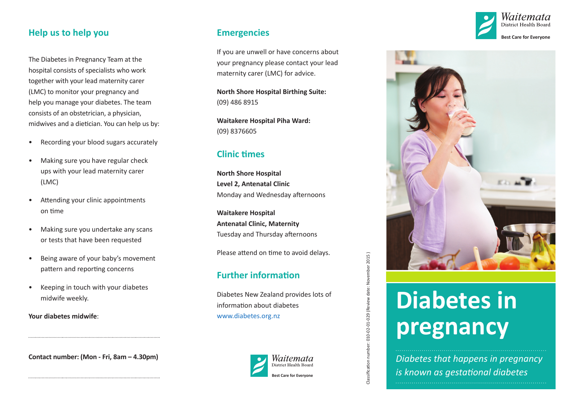### **Help us to help you**

The Diabetes in Pregnancy Team at the hospital consists of specialists who work together with your lead maternity carer (LMC) to monitor your pregnancy and help you manage your diabetes. The team consists of an obstetrician, a physician, midwives and a dietician. You can help us by:

- Recording your blood sugars accurately
- Making sure you have regular check ups with your lead maternity carer (LMC)
- Attending your clinic appointments on time
- Making sure you undertake any scans or tests that have been requested
- Being aware of your baby's movement pattern and reporting concerns
- Keeping in touch with your diabetes midwife weekly.

**Your diabetes midwife** :

**Contact number: (Mon - Fri, 8am – 4.30pm)**

### **Emergencies**

If you are unwell or have concerns about your pregnancy please contact your lead maternity carer (LMC) for advice.

**North Shore Hospital Birthing Suite:** (09) 486 8915

**Waitakere Hospital Piha Ward:** (09) 8376605

## **Clinic times**

**North Shore Hospital Level 2, Antenatal Clinic**  Monday and Wednesday afternoons

**Waitakere Hospital Antenatal Clinic, Maternity**  Tuesday and Thursday afternoons

Please attend on time to avoid delays.

## **Further information**

Diabetes New Zealand provides lots of information about diabetes [www.diabetes.org.nz](http://www.diabetes.org.nz)





Classification number: 010-02-01-029 (Review date: November 2015 )

Classification number: 010-02-01-029 (Review date: November 2015)

Vaitemata District Health Bo **st Ca re for E v e r yone**



# **Diabetes in pregnancy**

*Diabetes that happens in pregnancy is known as gestational diabetes*